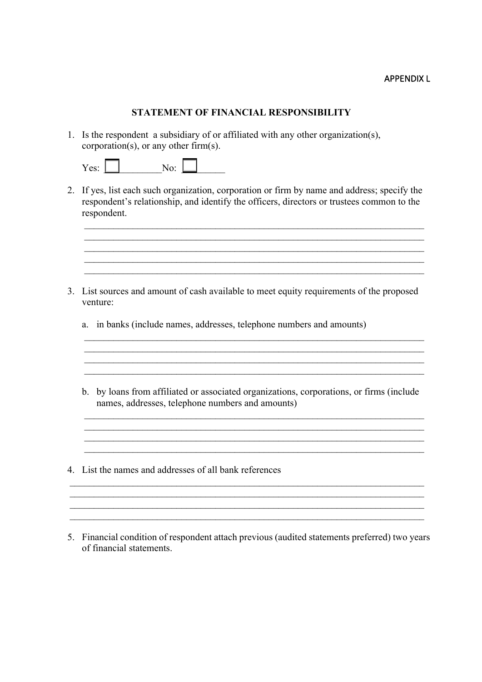## APPENDIX L

## **STATEMENT OF FINANCIAL RESPONSIBILITY**

1. Is the respondent a subsidiary of or affiliated with any other organization(s), corporation(s), or any other firm(s).

2. If yes, list each such organization, corporation or firm by name and address; specify the respondent's relationship, and identify the officers, directors or trustees common to the respondent.

 $\mathcal{L}_\mathcal{L} = \{ \mathcal{L}_\mathcal{L} = \{ \mathcal{L}_\mathcal{L} = \{ \mathcal{L}_\mathcal{L} = \{ \mathcal{L}_\mathcal{L} = \{ \mathcal{L}_\mathcal{L} = \{ \mathcal{L}_\mathcal{L} = \{ \mathcal{L}_\mathcal{L} = \{ \mathcal{L}_\mathcal{L} = \{ \mathcal{L}_\mathcal{L} = \{ \mathcal{L}_\mathcal{L} = \{ \mathcal{L}_\mathcal{L} = \{ \mathcal{L}_\mathcal{L} = \{ \mathcal{L}_\mathcal{L} = \{ \mathcal{L}_\mathcal{$ 

 $\mathcal{L}_\mathcal{L} = \mathcal{L}_\mathcal{L} = \mathcal{L}_\mathcal{L} = \mathcal{L}_\mathcal{L} = \mathcal{L}_\mathcal{L} = \mathcal{L}_\mathcal{L} = \mathcal{L}_\mathcal{L} = \mathcal{L}_\mathcal{L} = \mathcal{L}_\mathcal{L} = \mathcal{L}_\mathcal{L} = \mathcal{L}_\mathcal{L} = \mathcal{L}_\mathcal{L} = \mathcal{L}_\mathcal{L} = \mathcal{L}_\mathcal{L} = \mathcal{L}_\mathcal{L} = \mathcal{L}_\mathcal{L} = \mathcal{L}_\mathcal{L}$ 

- 3. List sources and amount of cash available to meet equity requirements of the proposed venture:
	- a. in banks (include names, addresses, telephone numbers and amounts)
	- b. by loans from affiliated or associated organizations, corporations, or firms (include names, addresses, telephone numbers and amounts)

\_\_\_\_\_\_\_\_\_\_\_\_\_\_\_\_\_\_\_\_\_\_\_\_\_\_\_\_\_\_\_\_\_\_\_\_\_\_\_\_\_\_\_\_\_\_\_\_\_\_\_\_\_\_\_\_\_\_\_\_\_\_\_\_\_\_\_\_\_\_

 $\_$  , and the set of the set of the set of the set of the set of the set of the set of the set of the set of the set of the set of the set of the set of the set of the set of the set of the set of the set of the set of th

 $\_$  , and the set of the set of the set of the set of the set of the set of the set of the set of the set of the set of the set of the set of the set of the set of the set of the set of the set of the set of the set of th

- 4. List the names and addresses of all bank references
- 5. Financial condition of respondent attach previous (audited statements preferred) two years of financial statements.

\_\_\_\_\_\_\_\_\_\_\_\_\_\_\_\_\_\_\_\_\_\_\_\_\_\_\_\_\_\_\_\_\_\_\_\_\_\_\_\_\_\_\_\_\_\_\_\_\_\_\_\_\_\_\_\_\_\_\_\_\_\_\_\_\_\_\_\_\_\_\_\_\_

 $\_$  , and the set of the set of the set of the set of the set of the set of the set of the set of the set of the set of the set of the set of the set of the set of the set of the set of the set of the set of the set of th